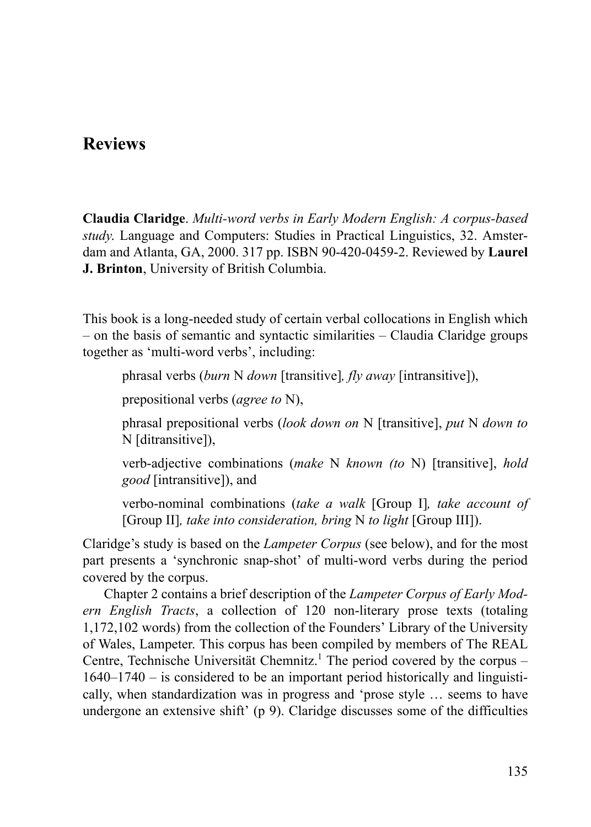## **Reviews**

**Claudia Claridge**. *Multi-word verbs in Early Modern English: A corpus-based study*. Language and Computers: Studies in Practical Linguistics, 32. Amsterdam and Atlanta, GA, 2000. 317 pp. ISBN 90-420-0459-2. Reviewed by **Laurel J. Brinton**, University of British Columbia.

This book is a long-needed study of certain verbal collocations in English which – on the basis of semantic and syntactic similarities – Claudia Claridge groups together as 'multi-word verbs', including:

phrasal verbs (*burn* N *down* [transitive]*, fly away* [intransitive]),

prepositional verbs (*agree to* N),

phrasal prepositional verbs (*look down on* N [transitive], *put* N *down to* N [ditransitive]),

verb-adjective combinations (*make* N *known (to* N) [transitive], *hold good* [intransitive]), and

verbo-nominal combinations (*take a walk* [Group I]*, take account of* [Group II]*, take into consideration, bring* N *to light* [Group III]).

Claridge's study is based on the *Lampeter Corpus* (see below), and for the most part presents a 'synchronic snap-shot' of multi-word verbs during the period covered by the corpus.

Chapter 2 contains a brief description of the *Lampeter Corpus of Early Modern English Tracts*, a collection of 120 non-literary prose texts (totaling 1,172,102 words) from the collection of the Founders' Library of the University of Wales, Lampeter. This corpus has been compiled by members of The REAL Centre, Technische Universität Chemnitz.<sup>1</sup> The period covered by the corpus -1640–1740 – is considered to be an important period historically and linguistically, when standardization was in progress and 'prose style … seems to have undergone an extensive shift' (p 9). Claridge discusses some of the difficulties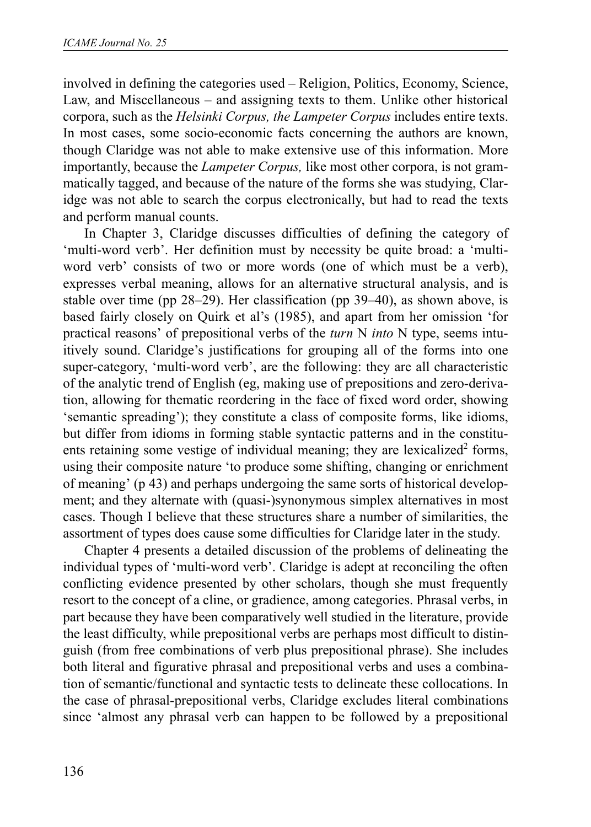involved in defining the categories used – Religion, Politics, Economy, Science, Law, and Miscellaneous – and assigning texts to them. Unlike other historical corpora, such as the *Helsinki Corpus, the Lampeter Corpus* includes entire texts. In most cases, some socio-economic facts concerning the authors are known, though Claridge was not able to make extensive use of this information. More importantly, because the *Lampeter Corpus,* like most other corpora, is not grammatically tagged, and because of the nature of the forms she was studying, Claridge was not able to search the corpus electronically, but had to read the texts and perform manual counts.

In Chapter 3, Claridge discusses difficulties of defining the category of 'multi-word verb'. Her definition must by necessity be quite broad: a 'multiword verb' consists of two or more words (one of which must be a verb), expresses verbal meaning, allows for an alternative structural analysis, and is stable over time (pp 28–29). Her classification (pp 39–40), as shown above, is based fairly closely on Quirk et al's (1985), and apart from her omission 'for practical reasons' of prepositional verbs of the *turn* N *into* N type, seems intuitively sound. Claridge's justifications for grouping all of the forms into one super-category, 'multi-word verb', are the following: they are all characteristic of the analytic trend of English (eg, making use of prepositions and zero-derivation, allowing for thematic reordering in the face of fixed word order, showing 'semantic spreading'); they constitute a class of composite forms, like idioms, but differ from idioms in forming stable syntactic patterns and in the constituents retaining some vestige of individual meaning; they are lexicalized<sup>2</sup> forms, using their composite nature 'to produce some shifting, changing or enrichment of meaning' (p 43) and perhaps undergoing the same sorts of historical development; and they alternate with (quasi-)synonymous simplex alternatives in most cases. Though I believe that these structures share a number of similarities, the assortment of types does cause some difficulties for Claridge later in the study.

Chapter 4 presents a detailed discussion of the problems of delineating the individual types of 'multi-word verb'. Claridge is adept at reconciling the often conflicting evidence presented by other scholars, though she must frequently resort to the concept of a cline, or gradience, among categories. Phrasal verbs, in part because they have been comparatively well studied in the literature, provide the least difficulty, while prepositional verbs are perhaps most difficult to distinguish (from free combinations of verb plus prepositional phrase). She includes both literal and figurative phrasal and prepositional verbs and uses a combination of semantic/functional and syntactic tests to delineate these collocations. In the case of phrasal-prepositional verbs, Claridge excludes literal combinations since 'almost any phrasal verb can happen to be followed by a prepositional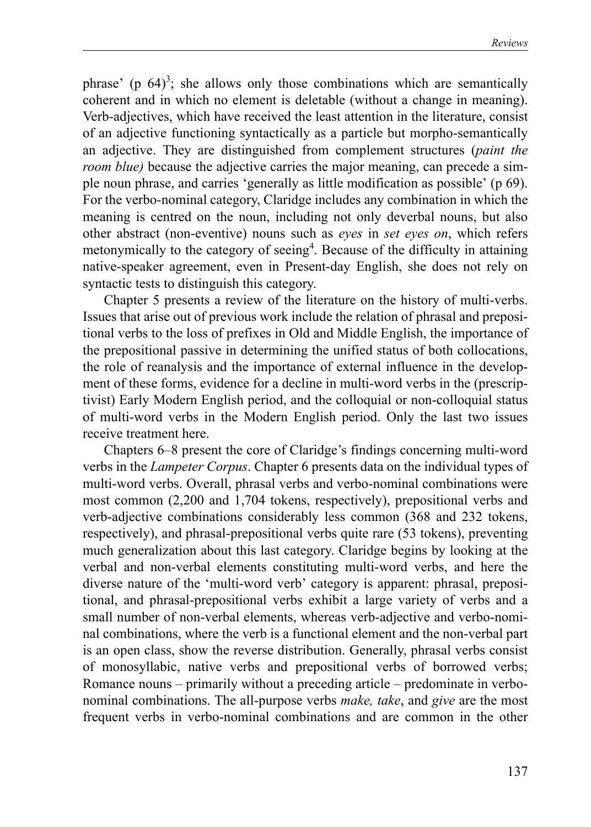phrase' (p  $64$ )<sup>3</sup>; she allows only those combinations which are semantically coherent and in which no element is deletable (without a change in meaning). Verb-adjectives, which have received the least attention in the literature, consist of an adjective functioning syntactically as a particle but morpho-semantically an adjective. They are distinguished from complement structures (*paint the room blue*) because the adjective carries the major meaning, can precede a simple noun phrase, and carries 'generally as little modification as possible' (p 69). For the verbo-nominal category, Claridge includes any combination in which the meaning is centred on the noun, including not only deverbal nouns, but also other abstract (non-eventive) nouns such as *eyes* in *set eyes on*, which refers metonymically to the category of seeing<sup>4</sup>. Because of the difficulty in attaining native-speaker agreement, even in Present-day English, she does not rely on syntactic tests to distinguish this category.

Chapter 5 presents a review of the literature on the history of multi-verbs. Issues that arise out of previous work include the relation of phrasal and prepositional verbs to the loss of prefixes in Old and Middle English, the importance of the prepositional passive in determining the unified status of both collocations, the role of reanalysis and the importance of external influence in the development of these forms, evidence for a decline in multi-word verbs in the (prescriptivist) Early Modern English period, and the colloquial or non-colloquial status of multi-word verbs in the Modern English period. Only the last two issues receive treatment here.

Chapters 6–8 present the core of Claridge's findings concerning multi-word verbs in the *Lampeter Corpus*. Chapter 6 presents data on the individual types of multi-word verbs. Overall, phrasal verbs and verbo-nominal combinations were most common (2,200 and 1,704 tokens, respectively), prepositional verbs and verb-adjective combinations considerably less common (368 and 232 tokens, respectively), and phrasal-prepositional verbs quite rare (53 tokens), preventing much generalization about this last category. Claridge begins by looking at the verbal and non-verbal elements constituting multi-word verbs, and here the diverse nature of the 'multi-word verb' category is apparent: phrasal, prepositional, and phrasal-prepositional verbs exhibit a large variety of verbs and a small number of non-verbal elements, whereas verb-adjective and verbo-nominal combinations, where the verb is a functional element and the non-verbal part is an open class, show the reverse distribution. Generally, phrasal verbs consist of monosyllabic, native verbs and prepositional verbs of borrowed verbs; Romance nouns – primarily without a preceding article – predominate in verbonominal combinations. The all-purpose verbs *make, take*, and *give* are the most frequent verbs in verbo-nominal combinations and are common in the other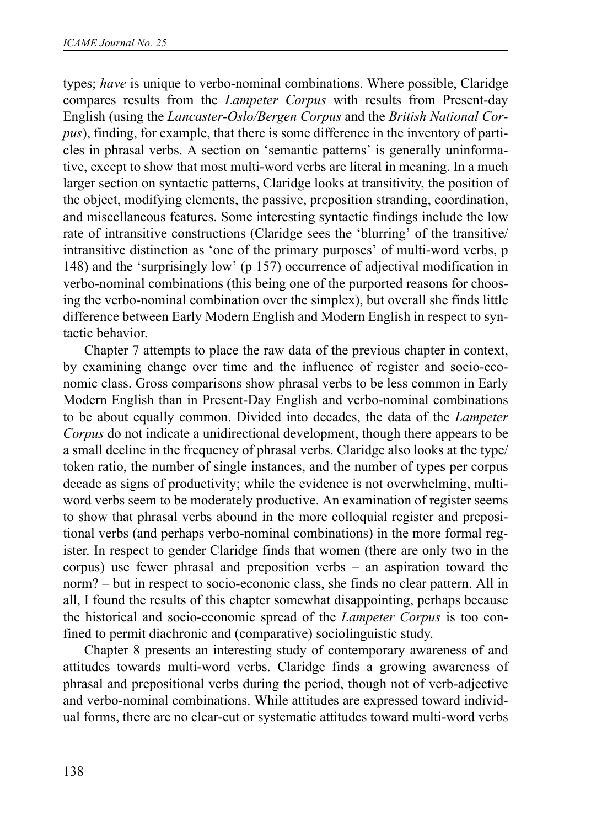types; *have* is unique to verbo-nominal combinations. Where possible, Claridge compares results from the *Lampeter Corpus* with results from Present-day English (using the *Lancaster-Oslo/Bergen Corpus* and the *British National Corpus*), finding, for example, that there is some difference in the inventory of particles in phrasal verbs. A section on 'semantic patterns' is generally uninformative, except to show that most multi-word verbs are literal in meaning. In a much larger section on syntactic patterns, Claridge looks at transitivity, the position of the object, modifying elements, the passive, preposition stranding, coordination, and miscellaneous features. Some interesting syntactic findings include the low rate of intransitive constructions (Claridge sees the 'blurring' of the transitive/ intransitive distinction as 'one of the primary purposes' of multi-word verbs, p 148) and the 'surprisingly low' (p 157) occurrence of adjectival modification in verbo-nominal combinations (this being one of the purported reasons for choosing the verbo-nominal combination over the simplex), but overall she finds little difference between Early Modern English and Modern English in respect to syntactic behavior.

Chapter 7 attempts to place the raw data of the previous chapter in context, by examining change over time and the influence of register and socio-economic class. Gross comparisons show phrasal verbs to be less common in Early Modern English than in Present-Day English and verbo-nominal combinations to be about equally common. Divided into decades, the data of the *Lampeter Corpus* do not indicate a unidirectional development, though there appears to be a small decline in the frequency of phrasal verbs. Claridge also looks at the type/ token ratio, the number of single instances, and the number of types per corpus decade as signs of productivity; while the evidence is not overwhelming, multiword verbs seem to be moderately productive. An examination of register seems to show that phrasal verbs abound in the more colloquial register and prepositional verbs (and perhaps verbo-nominal combinations) in the more formal register. In respect to gender Claridge finds that women (there are only two in the corpus) use fewer phrasal and preposition verbs – an aspiration toward the norm? – but in respect to socio-econonic class, she finds no clear pattern. All in all, I found the results of this chapter somewhat disappointing, perhaps because the historical and socio-economic spread of the *Lampeter Corpus* is too confined to permit diachronic and (comparative) sociolinguistic study.

Chapter 8 presents an interesting study of contemporary awareness of and attitudes towards multi-word verbs. Claridge finds a growing awareness of phrasal and prepositional verbs during the period, though not of verb-adjective and verbo-nominal combinations. While attitudes are expressed toward individual forms, there are no clear-cut or systematic attitudes toward multi-word verbs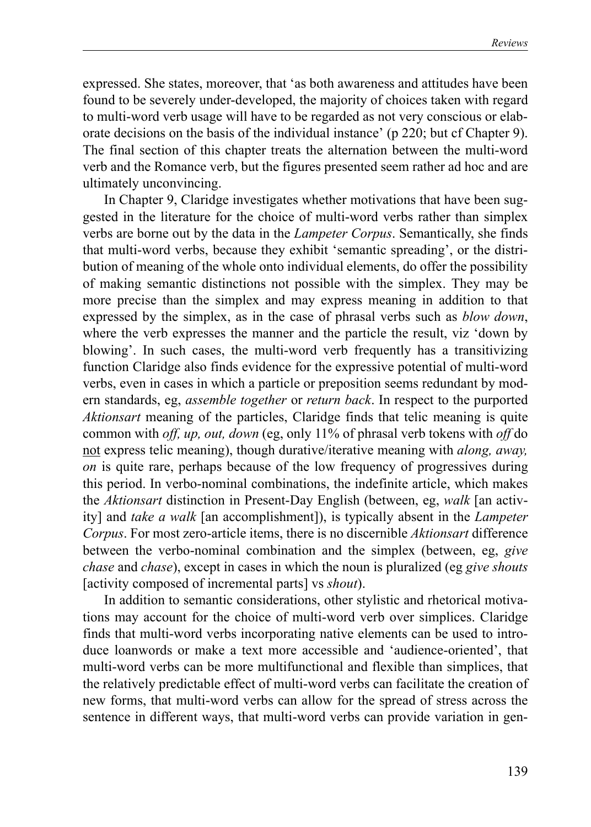expressed. She states, moreover, that 'as both awareness and attitudes have been found to be severely under-developed, the majority of choices taken with regard to multi-word verb usage will have to be regarded as not very conscious or elaborate decisions on the basis of the individual instance' (p 220; but cf Chapter 9). The final section of this chapter treats the alternation between the multi-word verb and the Romance verb, but the figures presented seem rather ad hoc and are ultimately unconvincing.

In Chapter 9, Claridge investigates whether motivations that have been suggested in the literature for the choice of multi-word verbs rather than simplex verbs are borne out by the data in the *Lampeter Corpus*. Semantically, she finds that multi-word verbs, because they exhibit 'semantic spreading', or the distribution of meaning of the whole onto individual elements, do offer the possibility of making semantic distinctions not possible with the simplex. They may be more precise than the simplex and may express meaning in addition to that expressed by the simplex, as in the case of phrasal verbs such as *blow down*, where the verb expresses the manner and the particle the result, viz 'down by blowing'. In such cases, the multi-word verb frequently has a transitivizing function Claridge also finds evidence for the expressive potential of multi-word verbs, even in cases in which a particle or preposition seems redundant by modern standards, eg, *assemble together* or *return back*. In respect to the purported *Aktionsart* meaning of the particles, Claridge finds that telic meaning is quite common with *off, up, out, down* (eg, only 11% of phrasal verb tokens with *off* do not express telic meaning), though durative/iterative meaning with *along, away, on* is quite rare, perhaps because of the low frequency of progressives during this period. In verbo-nominal combinations, the indefinite article, which makes the *Aktionsart* distinction in Present-Day English (between, eg, *walk* [an activity] and *take a walk* [an accomplishment]), is typically absent in the *Lampeter Corpus*. For most zero-article items, there is no discernible *Aktionsart* difference between the verbo-nominal combination and the simplex (between, eg, *give chase* and *chase*), except in cases in which the noun is pluralized (eg *give shouts* [activity composed of incremental parts] vs *shout*).

In addition to semantic considerations, other stylistic and rhetorical motivations may account for the choice of multi-word verb over simplices. Claridge finds that multi-word verbs incorporating native elements can be used to introduce loanwords or make a text more accessible and 'audience-oriented', that multi-word verbs can be more multifunctional and flexible than simplices, that the relatively predictable effect of multi-word verbs can facilitate the creation of new forms, that multi-word verbs can allow for the spread of stress across the sentence in different ways, that multi-word verbs can provide variation in gen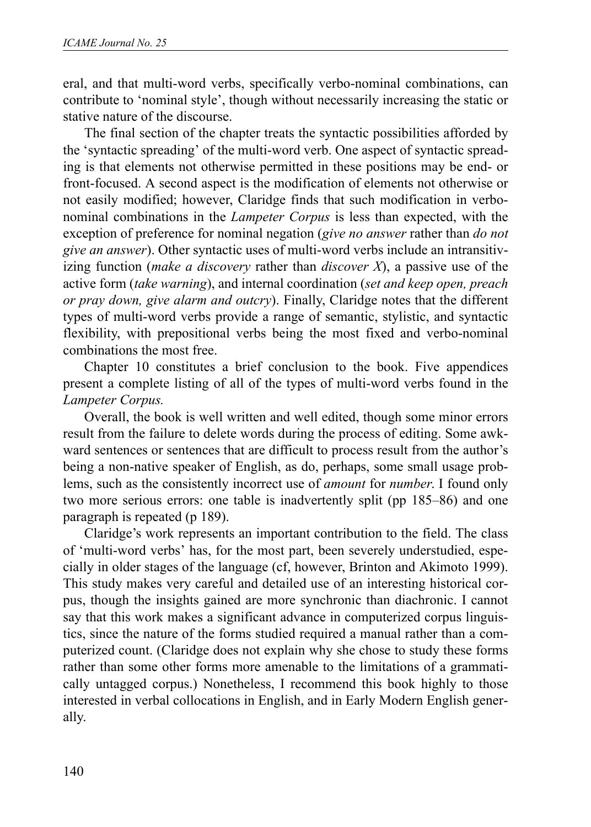eral, and that multi-word verbs, specifically verbo-nominal combinations, can contribute to 'nominal style', though without necessarily increasing the static or stative nature of the discourse.

The final section of the chapter treats the syntactic possibilities afforded by the 'syntactic spreading' of the multi-word verb. One aspect of syntactic spreading is that elements not otherwise permitted in these positions may be end- or front-focused. A second aspect is the modification of elements not otherwise or not easily modified; however, Claridge finds that such modification in verbonominal combinations in the *Lampeter Corpus* is less than expected, with the exception of preference for nominal negation (*give no answer* rather than *do not give an answer*). Other syntactic uses of multi-word verbs include an intransitivizing function (*make a discovery* rather than *discover X*), a passive use of the active form (*take warning*), and internal coordination (*set and keep open, preach or pray down, give alarm and outcry*). Finally, Claridge notes that the different types of multi-word verbs provide a range of semantic, stylistic, and syntactic flexibility, with prepositional verbs being the most fixed and verbo-nominal combinations the most free.

Chapter 10 constitutes a brief conclusion to the book. Five appendices present a complete listing of all of the types of multi-word verbs found in the *Lampeter Corpus.*

Overall, the book is well written and well edited, though some minor errors result from the failure to delete words during the process of editing. Some awkward sentences or sentences that are difficult to process result from the author's being a non-native speaker of English, as do, perhaps, some small usage problems, such as the consistently incorrect use of *amount* for *number*. I found only two more serious errors: one table is inadvertently split (pp 185–86) and one paragraph is repeated (p 189).

Claridge's work represents an important contribution to the field. The class of 'multi-word verbs' has, for the most part, been severely understudied, especially in older stages of the language (cf, however, Brinton and Akimoto 1999). This study makes very careful and detailed use of an interesting historical corpus, though the insights gained are more synchronic than diachronic. I cannot say that this work makes a significant advance in computerized corpus linguistics, since the nature of the forms studied required a manual rather than a computerized count. (Claridge does not explain why she chose to study these forms rather than some other forms more amenable to the limitations of a grammatically untagged corpus.) Nonetheless, I recommend this book highly to those interested in verbal collocations in English, and in Early Modern English generally.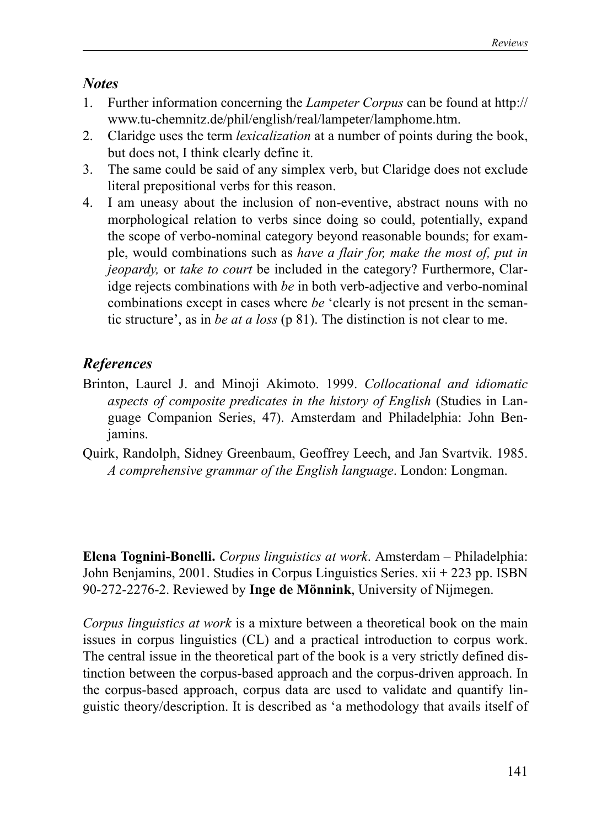### *Notes*

- 1. Further information concerning the *Lampeter Corpus* can be found at http:// www.tu-chemnitz.de/phil/english/real/lampeter/lamphome.htm.
- 2. Claridge uses the term *lexicalization* at a number of points during the book, but does not, I think clearly define it.
- 3. The same could be said of any simplex verb, but Claridge does not exclude literal prepositional verbs for this reason.
- 4. I am uneasy about the inclusion of non-eventive, abstract nouns with no morphological relation to verbs since doing so could, potentially, expand the scope of verbo-nominal category beyond reasonable bounds; for example, would combinations such as *have a flair for, make the most of, put in jeopardy,* or *take to court* be included in the category? Furthermore, Claridge rejects combinations with *be* in both verb-adjective and verbo-nominal combinations except in cases where *be* 'clearly is not present in the semantic structure', as in *be at a loss* (p 81). The distinction is not clear to me.

# *References*

- Brinton, Laurel J. and Minoji Akimoto. 1999. *Collocational and idiomatic aspects of composite predicates in the history of English* (Studies in Language Companion Series, 47). Amsterdam and Philadelphia: John Benjamins.
- Quirk, Randolph, Sidney Greenbaum, Geoffrey Leech, and Jan Svartvik. 1985. *A comprehensive grammar of the English language*. London: Longman.

**Elena Tognini-Bonelli.** *Corpus linguistics at work*. Amsterdam – Philadelphia: John Benjamins, 2001. Studies in Corpus Linguistics Series. xii + 223 pp. ISBN 90-272-2276-2. Reviewed by **Inge de Mönnink**, University of Nijmegen.

*Corpus linguistics at work* is a mixture between a theoretical book on the main issues in corpus linguistics (CL) and a practical introduction to corpus work. The central issue in the theoretical part of the book is a very strictly defined distinction between the corpus-based approach and the corpus-driven approach. In the corpus-based approach, corpus data are used to validate and quantify linguistic theory/description. It is described as 'a methodology that avails itself of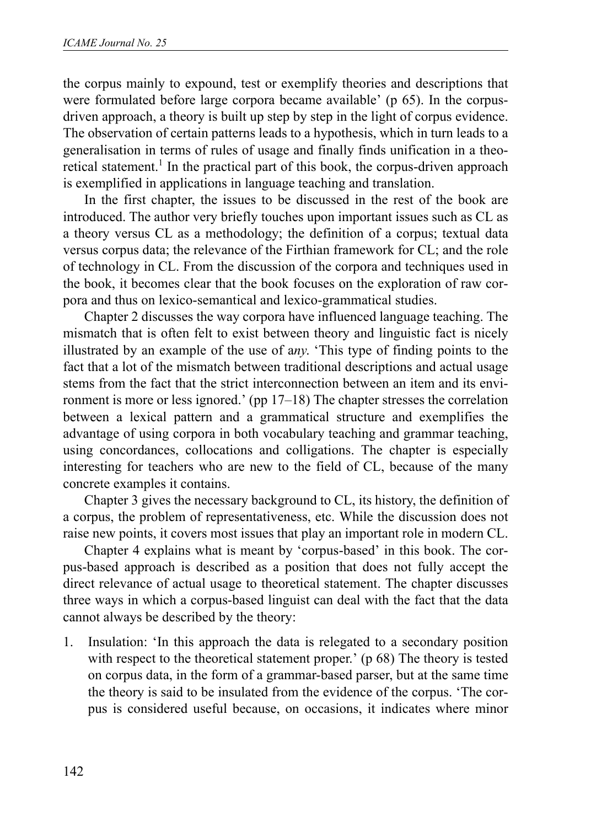the corpus mainly to expound, test or exemplify theories and descriptions that were formulated before large corpora became available' (p 65). In the corpusdriven approach, a theory is built up step by step in the light of corpus evidence. The observation of certain patterns leads to a hypothesis, which in turn leads to a generalisation in terms of rules of usage and finally finds unification in a theoretical statement.<sup>1</sup> In the practical part of this book, the corpus-driven approach is exemplified in applications in language teaching and translation.

In the first chapter, the issues to be discussed in the rest of the book are introduced. The author very briefly touches upon important issues such as CL as a theory versus CL as a methodology; the definition of a corpus; textual data versus corpus data; the relevance of the Firthian framework for CL; and the role of technology in CL. From the discussion of the corpora and techniques used in the book, it becomes clear that the book focuses on the exploration of raw corpora and thus on lexico-semantical and lexico-grammatical studies.

Chapter 2 discusses the way corpora have influenced language teaching. The mismatch that is often felt to exist between theory and linguistic fact is nicely illustrated by an example of the use of a*ny*. 'This type of finding points to the fact that a lot of the mismatch between traditional descriptions and actual usage stems from the fact that the strict interconnection between an item and its environment is more or less ignored.' (pp 17–18) The chapter stresses the correlation between a lexical pattern and a grammatical structure and exemplifies the advantage of using corpora in both vocabulary teaching and grammar teaching, using concordances, collocations and colligations. The chapter is especially interesting for teachers who are new to the field of CL, because of the many concrete examples it contains.

Chapter 3 gives the necessary background to CL, its history, the definition of a corpus, the problem of representativeness, etc. While the discussion does not raise new points, it covers most issues that play an important role in modern CL.

Chapter 4 explains what is meant by 'corpus-based' in this book. The corpus-based approach is described as a position that does not fully accept the direct relevance of actual usage to theoretical statement. The chapter discusses three ways in which a corpus-based linguist can deal with the fact that the data cannot always be described by the theory:

1. Insulation: 'In this approach the data is relegated to a secondary position with respect to the theoretical statement proper.' (p 68) The theory is tested on corpus data, in the form of a grammar-based parser, but at the same time the theory is said to be insulated from the evidence of the corpus. 'The corpus is considered useful because, on occasions, it indicates where minor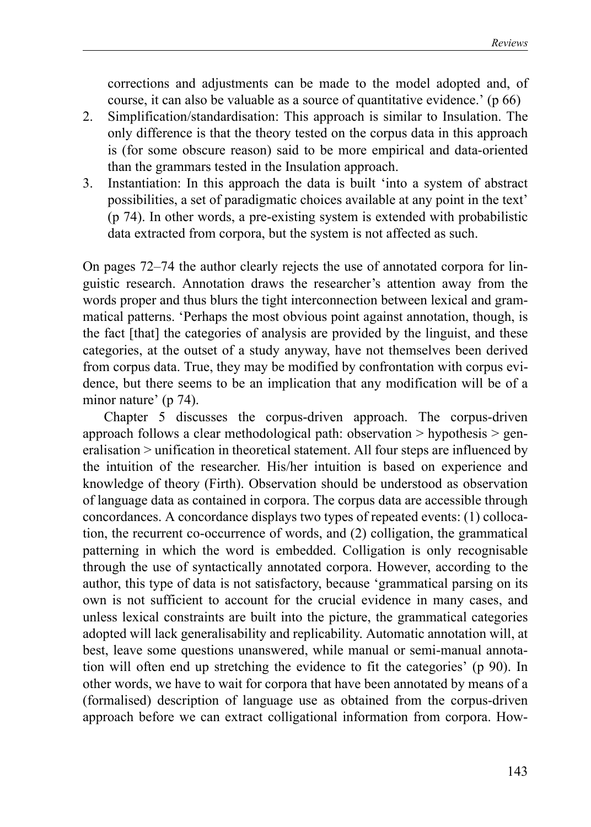corrections and adjustments can be made to the model adopted and, of course, it can also be valuable as a source of quantitative evidence.' (p 66)

- 2. Simplification/standardisation: This approach is similar to Insulation. The only difference is that the theory tested on the corpus data in this approach is (for some obscure reason) said to be more empirical and data-oriented than the grammars tested in the Insulation approach.
- 3. Instantiation: In this approach the data is built 'into a system of abstract possibilities, a set of paradigmatic choices available at any point in the text' (p 74). In other words, a pre-existing system is extended with probabilistic data extracted from corpora, but the system is not affected as such.

On pages 72–74 the author clearly rejects the use of annotated corpora for linguistic research. Annotation draws the researcher's attention away from the words proper and thus blurs the tight interconnection between lexical and grammatical patterns. 'Perhaps the most obvious point against annotation, though, is the fact [that] the categories of analysis are provided by the linguist, and these categories, at the outset of a study anyway, have not themselves been derived from corpus data. True, they may be modified by confrontation with corpus evidence, but there seems to be an implication that any modification will be of a minor nature' (p 74).

Chapter 5 discusses the corpus-driven approach. The corpus-driven approach follows a clear methodological path: observation > hypothesis > generalisation > unification in theoretical statement. All four steps are influenced by the intuition of the researcher. His/her intuition is based on experience and knowledge of theory (Firth). Observation should be understood as observation of language data as contained in corpora. The corpus data are accessible through concordances. A concordance displays two types of repeated events: (1) collocation, the recurrent co-occurrence of words, and (2) colligation, the grammatical patterning in which the word is embedded. Colligation is only recognisable through the use of syntactically annotated corpora. However, according to the author, this type of data is not satisfactory, because 'grammatical parsing on its own is not sufficient to account for the crucial evidence in many cases, and unless lexical constraints are built into the picture, the grammatical categories adopted will lack generalisability and replicability. Automatic annotation will, at best, leave some questions unanswered, while manual or semi-manual annotation will often end up stretching the evidence to fit the categories' (p 90). In other words, we have to wait for corpora that have been annotated by means of a (formalised) description of language use as obtained from the corpus-driven approach before we can extract colligational information from corpora. How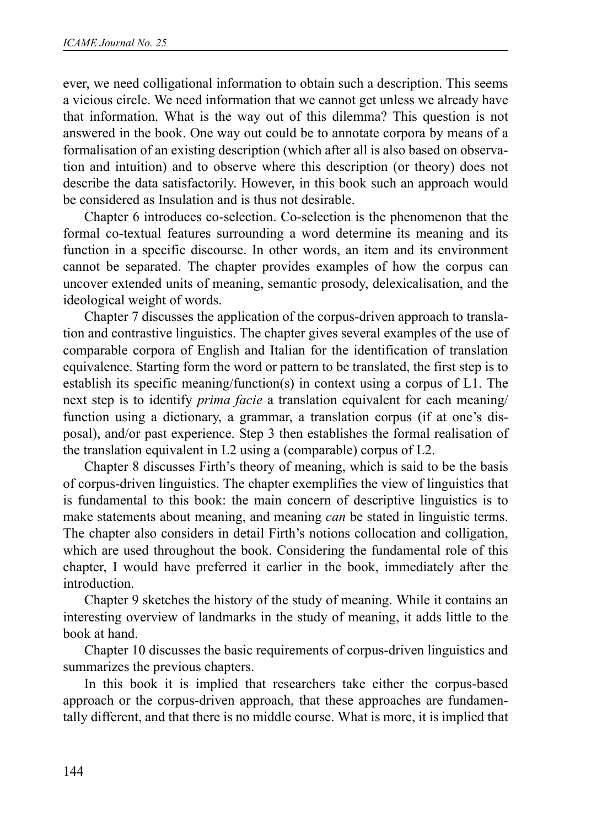ever, we need colligational information to obtain such a description. This seems a vicious circle. We need information that we cannot get unless we already have that information. What is the way out of this dilemma? This question is not answered in the book. One way out could be to annotate corpora by means of a formalisation of an existing description (which after all is also based on observation and intuition) and to observe where this description (or theory) does not describe the data satisfactorily. However, in this book such an approach would be considered as Insulation and is thus not desirable.

Chapter 6 introduces co-selection. Co-selection is the phenomenon that the formal co-textual features surrounding a word determine its meaning and its function in a specific discourse. In other words, an item and its environment cannot be separated. The chapter provides examples of how the corpus can uncover extended units of meaning, semantic prosody, delexicalisation, and the ideological weight of words.

Chapter 7 discusses the application of the corpus-driven approach to translation and contrastive linguistics. The chapter gives several examples of the use of comparable corpora of English and Italian for the identification of translation equivalence. Starting form the word or pattern to be translated, the first step is to establish its specific meaning/function(s) in context using a corpus of L1. The next step is to identify *prima facie* a translation equivalent for each meaning/ function using a dictionary, a grammar, a translation corpus (if at one's disposal), and/or past experience. Step 3 then establishes the formal realisation of the translation equivalent in L2 using a (comparable) corpus of L2.

Chapter 8 discusses Firth's theory of meaning, which is said to be the basis of corpus-driven linguistics. The chapter exemplifies the view of linguistics that is fundamental to this book: the main concern of descriptive linguistics is to make statements about meaning, and meaning *can* be stated in linguistic terms. The chapter also considers in detail Firth's notions collocation and colligation, which are used throughout the book. Considering the fundamental role of this chapter, I would have preferred it earlier in the book, immediately after the introduction.

Chapter 9 sketches the history of the study of meaning. While it contains an interesting overview of landmarks in the study of meaning, it adds little to the book at hand.

Chapter 10 discusses the basic requirements of corpus-driven linguistics and summarizes the previous chapters.

In this book it is implied that researchers take either the corpus-based approach or the corpus-driven approach, that these approaches are fundamentally different, and that there is no middle course. What is more, it is implied that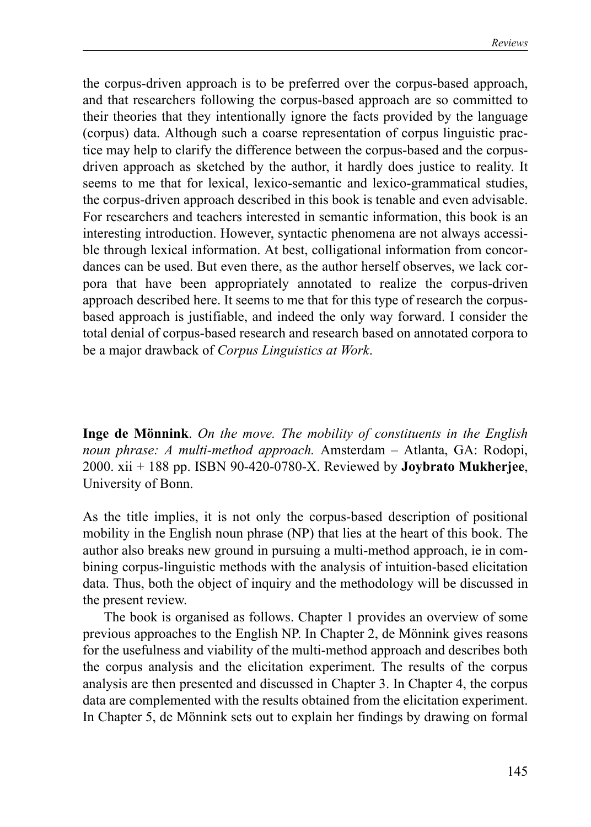the corpus-driven approach is to be preferred over the corpus-based approach, and that researchers following the corpus-based approach are so committed to their theories that they intentionally ignore the facts provided by the language (corpus) data. Although such a coarse representation of corpus linguistic practice may help to clarify the difference between the corpus-based and the corpusdriven approach as sketched by the author, it hardly does justice to reality. It seems to me that for lexical, lexico-semantic and lexico-grammatical studies, the corpus-driven approach described in this book is tenable and even advisable. For researchers and teachers interested in semantic information, this book is an interesting introduction. However, syntactic phenomena are not always accessible through lexical information. At best, colligational information from concordances can be used. But even there, as the author herself observes, we lack corpora that have been appropriately annotated to realize the corpus-driven approach described here. It seems to me that for this type of research the corpusbased approach is justifiable, and indeed the only way forward. I consider the total denial of corpus-based research and research based on annotated corpora to be a major drawback of *Corpus Linguistics at Work*.

**Inge de Mönnink**. *On the move. The mobility of constituents in the English noun phrase: A multi-method approach.* Amsterdam – Atlanta, GA: Rodopi, 2000. xii + 188 pp. ISBN 90-420-0780-X. Reviewed by **Joybrato Mukherjee**, University of Bonn.

As the title implies, it is not only the corpus-based description of positional mobility in the English noun phrase (NP) that lies at the heart of this book. The author also breaks new ground in pursuing a multi-method approach, ie in combining corpus-linguistic methods with the analysis of intuition-based elicitation data. Thus, both the object of inquiry and the methodology will be discussed in the present review.

The book is organised as follows. Chapter 1 provides an overview of some previous approaches to the English NP. In Chapter 2, de Mönnink gives reasons for the usefulness and viability of the multi-method approach and describes both the corpus analysis and the elicitation experiment. The results of the corpus analysis are then presented and discussed in Chapter 3. In Chapter 4, the corpus data are complemented with the results obtained from the elicitation experiment. In Chapter 5, de Mönnink sets out to explain her findings by drawing on formal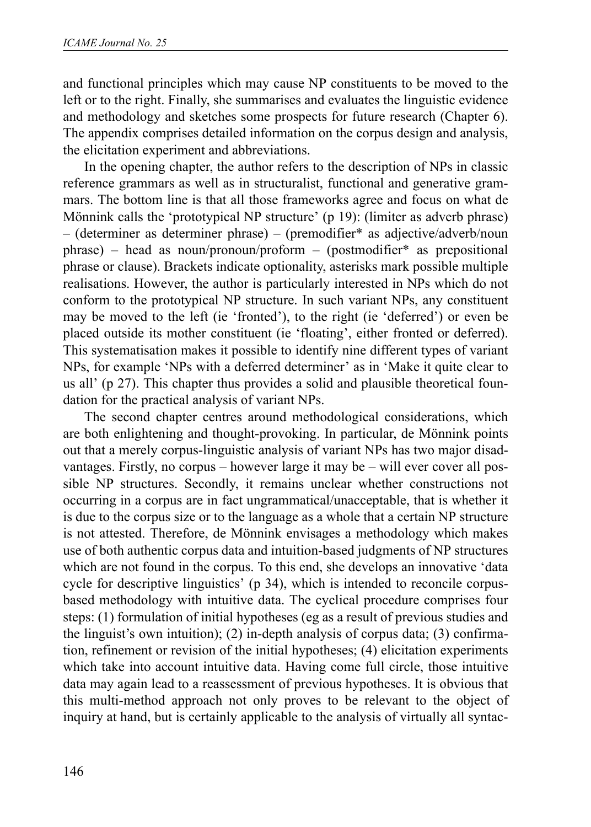and functional principles which may cause NP constituents to be moved to the left or to the right. Finally, she summarises and evaluates the linguistic evidence and methodology and sketches some prospects for future research (Chapter 6). The appendix comprises detailed information on the corpus design and analysis, the elicitation experiment and abbreviations.

In the opening chapter, the author refers to the description of NPs in classic reference grammars as well as in structuralist, functional and generative grammars. The bottom line is that all those frameworks agree and focus on what de Mönnink calls the 'prototypical NP structure' (p 19): (limiter as adverb phrase) – (determiner as determiner phrase) – (premodifier\* as adjective/adverb/noun phrase) – head as noun/pronoun/proform – (postmodifier\* as prepositional phrase or clause). Brackets indicate optionality, asterisks mark possible multiple realisations. However, the author is particularly interested in NPs which do not conform to the prototypical NP structure. In such variant NPs, any constituent may be moved to the left (ie 'fronted'), to the right (ie 'deferred') or even be placed outside its mother constituent (ie 'floating', either fronted or deferred). This systematisation makes it possible to identify nine different types of variant NPs, for example 'NPs with a deferred determiner' as in 'Make it quite clear to us all' (p 27). This chapter thus provides a solid and plausible theoretical foundation for the practical analysis of variant NPs.

The second chapter centres around methodological considerations, which are both enlightening and thought-provoking. In particular, de Mönnink points out that a merely corpus-linguistic analysis of variant NPs has two major disadvantages. Firstly, no corpus – however large it may be – will ever cover all possible NP structures. Secondly, it remains unclear whether constructions not occurring in a corpus are in fact ungrammatical/unacceptable, that is whether it is due to the corpus size or to the language as a whole that a certain NP structure is not attested. Therefore, de Mönnink envisages a methodology which makes use of both authentic corpus data and intuition-based judgments of NP structures which are not found in the corpus. To this end, she develops an innovative 'data cycle for descriptive linguistics' (p 34), which is intended to reconcile corpusbased methodology with intuitive data. The cyclical procedure comprises four steps: (1) formulation of initial hypotheses (eg as a result of previous studies and the linguist's own intuition); (2) in-depth analysis of corpus data; (3) confirmation, refinement or revision of the initial hypotheses; (4) elicitation experiments which take into account intuitive data. Having come full circle, those intuitive data may again lead to a reassessment of previous hypotheses. It is obvious that this multi-method approach not only proves to be relevant to the object of inquiry at hand, but is certainly applicable to the analysis of virtually all syntac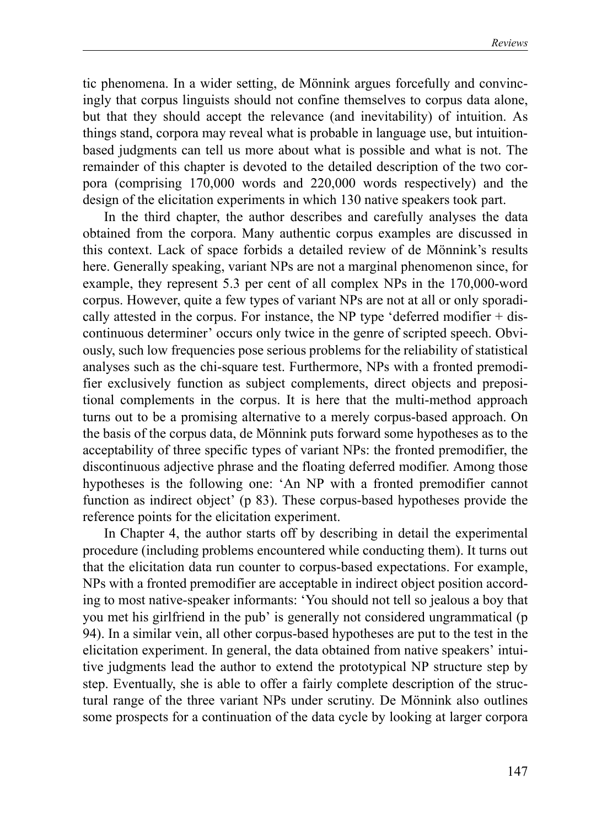tic phenomena. In a wider setting, de Mönnink argues forcefully and convincingly that corpus linguists should not confine themselves to corpus data alone, but that they should accept the relevance (and inevitability) of intuition. As things stand, corpora may reveal what is probable in language use, but intuitionbased judgments can tell us more about what is possible and what is not. The remainder of this chapter is devoted to the detailed description of the two corpora (comprising 170,000 words and 220,000 words respectively) and the design of the elicitation experiments in which 130 native speakers took part.

In the third chapter, the author describes and carefully analyses the data obtained from the corpora. Many authentic corpus examples are discussed in this context. Lack of space forbids a detailed review of de Mönnink's results here. Generally speaking, variant NPs are not a marginal phenomenon since, for example, they represent 5.3 per cent of all complex NPs in the 170,000-word corpus. However, quite a few types of variant NPs are not at all or only sporadically attested in the corpus. For instance, the NP type 'deferred modifier  $+$  discontinuous determiner' occurs only twice in the genre of scripted speech. Obviously, such low frequencies pose serious problems for the reliability of statistical analyses such as the chi-square test. Furthermore, NPs with a fronted premodifier exclusively function as subject complements, direct objects and prepositional complements in the corpus. It is here that the multi-method approach turns out to be a promising alternative to a merely corpus-based approach. On the basis of the corpus data, de Mönnink puts forward some hypotheses as to the acceptability of three specific types of variant NPs: the fronted premodifier, the discontinuous adjective phrase and the floating deferred modifier. Among those hypotheses is the following one: 'An NP with a fronted premodifier cannot function as indirect object' (p 83). These corpus-based hypotheses provide the reference points for the elicitation experiment.

In Chapter 4, the author starts off by describing in detail the experimental procedure (including problems encountered while conducting them). It turns out that the elicitation data run counter to corpus-based expectations. For example, NPs with a fronted premodifier are acceptable in indirect object position according to most native-speaker informants: 'You should not tell so jealous a boy that you met his girlfriend in the pub' is generally not considered ungrammatical (p 94). In a similar vein, all other corpus-based hypotheses are put to the test in the elicitation experiment. In general, the data obtained from native speakers' intuitive judgments lead the author to extend the prototypical NP structure step by step. Eventually, she is able to offer a fairly complete description of the structural range of the three variant NPs under scrutiny. De Mönnink also outlines some prospects for a continuation of the data cycle by looking at larger corpora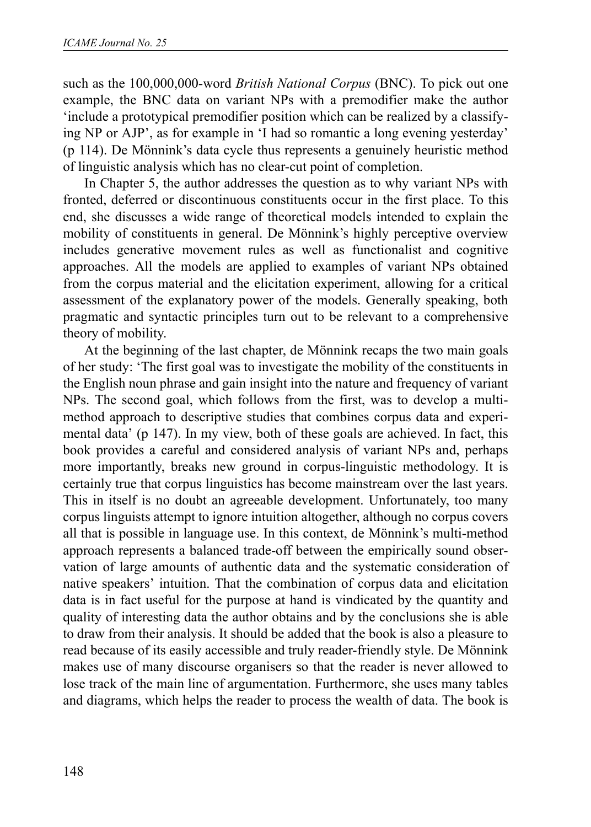such as the 100,000,000-word *British National Corpus* (BNC). To pick out one example, the BNC data on variant NPs with a premodifier make the author 'include a prototypical premodifier position which can be realized by a classifying NP or AJP', as for example in 'I had so romantic a long evening yesterday' (p 114). De Mönnink's data cycle thus represents a genuinely heuristic method of linguistic analysis which has no clear-cut point of completion.

In Chapter 5, the author addresses the question as to why variant NPs with fronted, deferred or discontinuous constituents occur in the first place. To this end, she discusses a wide range of theoretical models intended to explain the mobility of constituents in general. De Mönnink's highly perceptive overview includes generative movement rules as well as functionalist and cognitive approaches. All the models are applied to examples of variant NPs obtained from the corpus material and the elicitation experiment, allowing for a critical assessment of the explanatory power of the models. Generally speaking, both pragmatic and syntactic principles turn out to be relevant to a comprehensive theory of mobility.

At the beginning of the last chapter, de Mönnink recaps the two main goals of her study: 'The first goal was to investigate the mobility of the constituents in the English noun phrase and gain insight into the nature and frequency of variant NPs. The second goal, which follows from the first, was to develop a multimethod approach to descriptive studies that combines corpus data and experimental data' (p 147). In my view, both of these goals are achieved. In fact, this book provides a careful and considered analysis of variant NPs and, perhaps more importantly, breaks new ground in corpus-linguistic methodology. It is certainly true that corpus linguistics has become mainstream over the last years. This in itself is no doubt an agreeable development. Unfortunately, too many corpus linguists attempt to ignore intuition altogether, although no corpus covers all that is possible in language use. In this context, de Mönnink's multi-method approach represents a balanced trade-off between the empirically sound observation of large amounts of authentic data and the systematic consideration of native speakers' intuition. That the combination of corpus data and elicitation data is in fact useful for the purpose at hand is vindicated by the quantity and quality of interesting data the author obtains and by the conclusions she is able to draw from their analysis. It should be added that the book is also a pleasure to read because of its easily accessible and truly reader-friendly style. De Mönnink makes use of many discourse organisers so that the reader is never allowed to lose track of the main line of argumentation. Furthermore, she uses many tables and diagrams, which helps the reader to process the wealth of data. The book is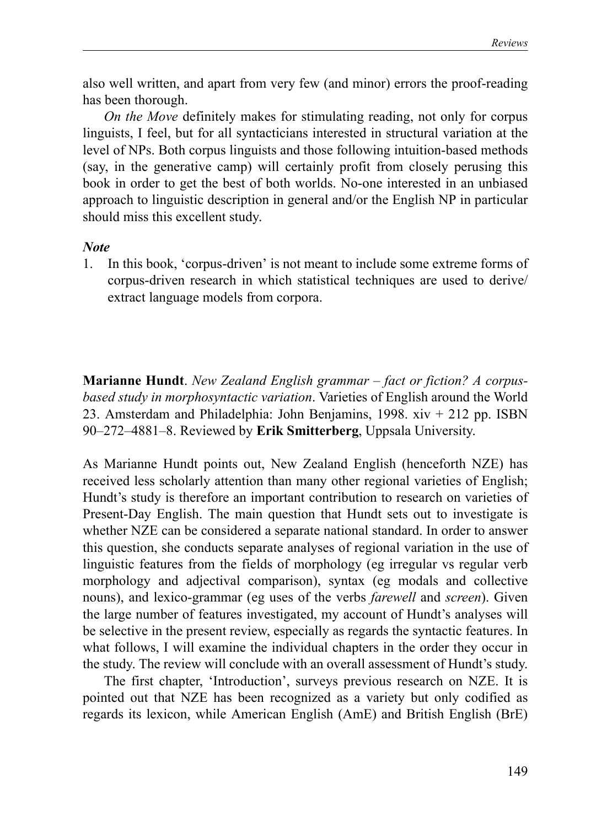also well written, and apart from very few (and minor) errors the proof-reading has been thorough.

*On the Move* definitely makes for stimulating reading, not only for corpus linguists, I feel, but for all syntacticians interested in structural variation at the level of NPs. Both corpus linguists and those following intuition-based methods (say, in the generative camp) will certainly profit from closely perusing this book in order to get the best of both worlds. No-one interested in an unbiased approach to linguistic description in general and/or the English NP in particular should miss this excellent study.

#### *Note*

1. In this book, 'corpus-driven' is not meant to include some extreme forms of corpus-driven research in which statistical techniques are used to derive/ extract language models from corpora.

**Marianne Hundt**. *New Zealand English grammar – fact or fiction? A corpusbased study in morphosyntactic variation*. Varieties of English around the World 23. Amsterdam and Philadelphia: John Benjamins, 1998. xiv + 212 pp. ISBN 90–272–4881–8. Reviewed by **Erik Smitterberg**, Uppsala University.

As Marianne Hundt points out, New Zealand English (henceforth NZE) has received less scholarly attention than many other regional varieties of English; Hundt's study is therefore an important contribution to research on varieties of Present-Day English. The main question that Hundt sets out to investigate is whether NZE can be considered a separate national standard. In order to answer this question, she conducts separate analyses of regional variation in the use of linguistic features from the fields of morphology (eg irregular vs regular verb morphology and adjectival comparison), syntax (eg modals and collective nouns), and lexico-grammar (eg uses of the verbs *farewell* and *screen*). Given the large number of features investigated, my account of Hundt's analyses will be selective in the present review, especially as regards the syntactic features. In what follows, I will examine the individual chapters in the order they occur in the study. The review will conclude with an overall assessment of Hundt's study.

The first chapter, 'Introduction', surveys previous research on NZE. It is pointed out that NZE has been recognized as a variety but only codified as regards its lexicon, while American English (AmE) and British English (BrE)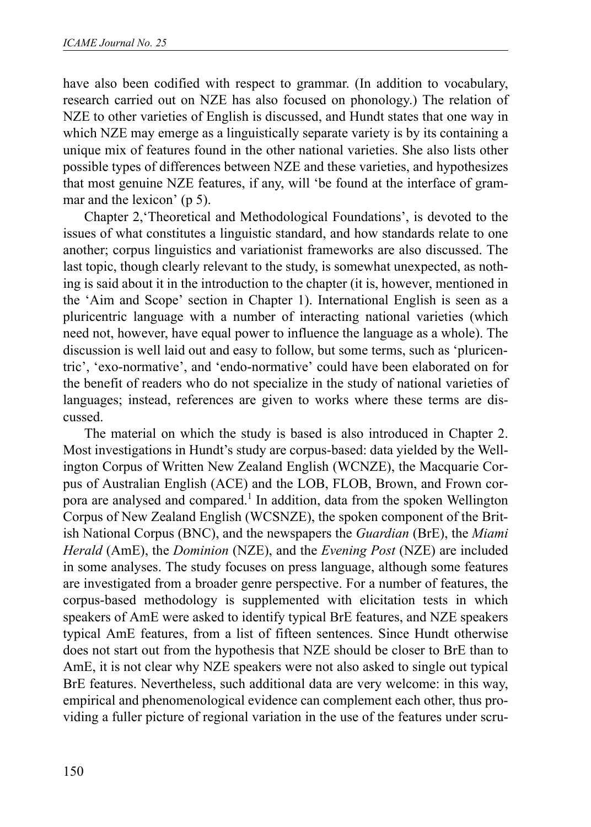have also been codified with respect to grammar. (In addition to vocabulary, research carried out on NZE has also focused on phonology.) The relation of NZE to other varieties of English is discussed, and Hundt states that one way in which NZE may emerge as a linguistically separate variety is by its containing a unique mix of features found in the other national varieties. She also lists other possible types of differences between NZE and these varieties, and hypothesizes that most genuine NZE features, if any, will 'be found at the interface of grammar and the lexicon' (p 5).

Chapter 2,'Theoretical and Methodological Foundations', is devoted to the issues of what constitutes a linguistic standard, and how standards relate to one another; corpus linguistics and variationist frameworks are also discussed. The last topic, though clearly relevant to the study, is somewhat unexpected, as nothing is said about it in the introduction to the chapter (it is, however, mentioned in the 'Aim and Scope' section in Chapter 1). International English is seen as a pluricentric language with a number of interacting national varieties (which need not, however, have equal power to influence the language as a whole). The discussion is well laid out and easy to follow, but some terms, such as 'pluricentric', 'exo-normative', and 'endo-normative' could have been elaborated on for the benefit of readers who do not specialize in the study of national varieties of languages; instead, references are given to works where these terms are discussed.

The material on which the study is based is also introduced in Chapter 2. Most investigations in Hundt's study are corpus-based: data yielded by the Wellington Corpus of Written New Zealand English (WCNZE), the Macquarie Corpus of Australian English (ACE) and the LOB, FLOB, Brown, and Frown corpora are analysed and compared.<sup>1</sup> In addition, data from the spoken Wellington Corpus of New Zealand English (WCSNZE), the spoken component of the British National Corpus (BNC), and the newspapers the *Guardian* (BrE), the *Miami Herald* (AmE), the *Dominion* (NZE), and the *Evening Post* (NZE) are included in some analyses. The study focuses on press language, although some features are investigated from a broader genre perspective. For a number of features, the corpus-based methodology is supplemented with elicitation tests in which speakers of AmE were asked to identify typical BrE features, and NZE speakers typical AmE features, from a list of fifteen sentences. Since Hundt otherwise does not start out from the hypothesis that NZE should be closer to BrE than to AmE, it is not clear why NZE speakers were not also asked to single out typical BrE features. Nevertheless, such additional data are very welcome: in this way, empirical and phenomenological evidence can complement each other, thus providing a fuller picture of regional variation in the use of the features under scru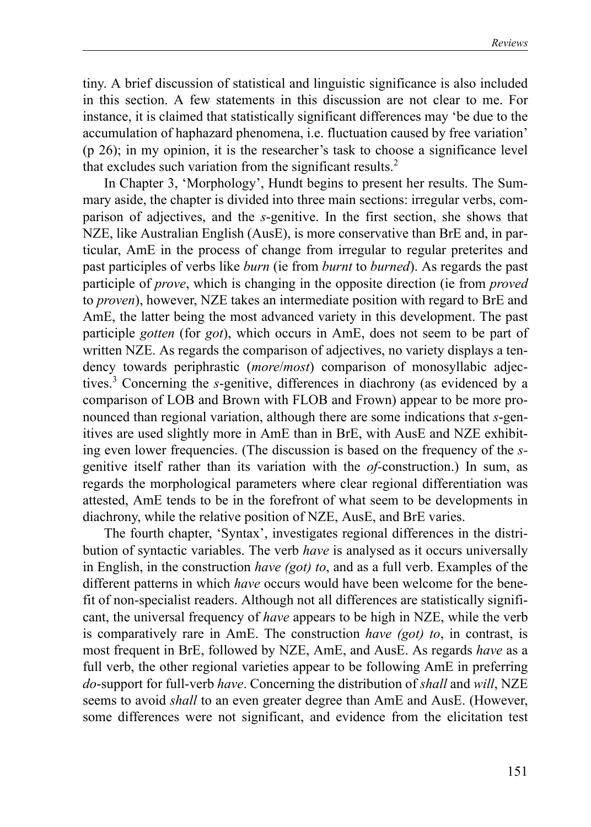tiny. A brief discussion of statistical and linguistic significance is also included in this section. A few statements in this discussion are not clear to me. For instance, it is claimed that statistically significant differences may 'be due to the accumulation of haphazard phenomena, i.e. fluctuation caused by free variation' (p 26); in my opinion, it is the researcher's task to choose a significance level that excludes such variation from the significant results.<sup>2</sup>

In Chapter 3, 'Morphology', Hundt begins to present her results. The Summary aside, the chapter is divided into three main sections: irregular verbs, comparison of adjectives, and the *s*-genitive. In the first section, she shows that NZE, like Australian English (AusE), is more conservative than BrE and, in particular, AmE in the process of change from irregular to regular preterites and past participles of verbs like *burn* (ie from *burnt* to *burned*). As regards the past participle of *prove*, which is changing in the opposite direction (ie from *proved* to *proven*), however, NZE takes an intermediate position with regard to BrE and AmE, the latter being the most advanced variety in this development. The past participle *gotten* (for *got*), which occurs in AmE, does not seem to be part of written NZE. As regards the comparison of adjectives, no variety displays a tendency towards periphrastic (*more*/*most*) comparison of monosyllabic adjectives.<sup>3</sup> Concerning the *s*-genitive, differences in diachrony (as evidenced by a comparison of LOB and Brown with FLOB and Frown) appear to be more pronounced than regional variation, although there are some indications that *s*-genitives are used slightly more in AmE than in BrE, with AusE and NZE exhibiting even lower frequencies. (The discussion is based on the frequency of the *s*genitive itself rather than its variation with the *of-*construction.) In sum, as regards the morphological parameters where clear regional differentiation was attested, AmE tends to be in the forefront of what seem to be developments in diachrony, while the relative position of NZE, AusE, and BrE varies.

The fourth chapter, 'Syntax', investigates regional differences in the distribution of syntactic variables. The verb *have* is analysed as it occurs universally in English, in the construction *have (got) to*, and as a full verb. Examples of the different patterns in which *have* occurs would have been welcome for the benefit of non-specialist readers. Although not all differences are statistically significant, the universal frequency of *have* appears to be high in NZE, while the verb is comparatively rare in AmE. The construction *have (got) to*, in contrast, is most frequent in BrE, followed by NZE, AmE, and AusE. As regards *have* as a full verb, the other regional varieties appear to be following AmE in preferring *do*-support for full-verb *have*. Concerning the distribution of *shall* and *will*, NZE seems to avoid *shall* to an even greater degree than AmE and AusE. (However, some differences were not significant, and evidence from the elicitation test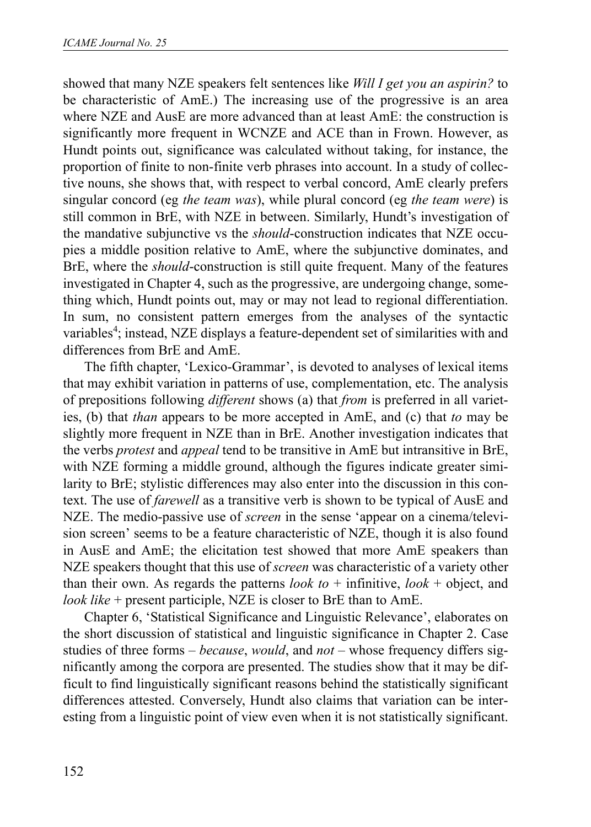showed that many NZE speakers felt sentences like *Will I get you an aspirin?* to be characteristic of AmE.) The increasing use of the progressive is an area where NZE and AusE are more advanced than at least AmE: the construction is significantly more frequent in WCNZE and ACE than in Frown. However, as Hundt points out, significance was calculated without taking, for instance, the proportion of finite to non-finite verb phrases into account. In a study of collective nouns, she shows that, with respect to verbal concord, AmE clearly prefers singular concord (eg *the team was*), while plural concord (eg *the team were*) is still common in BrE, with NZE in between. Similarly, Hundt's investigation of the mandative subjunctive vs the *should*-construction indicates that NZE occupies a middle position relative to AmE, where the subjunctive dominates, and BrE, where the *should*-construction is still quite frequent. Many of the features investigated in Chapter 4, such as the progressive, are undergoing change, something which, Hundt points out, may or may not lead to regional differentiation. In sum, no consistent pattern emerges from the analyses of the syntactic variables<sup>4</sup>; instead, NZE displays a feature-dependent set of similarities with and differences from BrE and AmE.

The fifth chapter, 'Lexico-Grammar', is devoted to analyses of lexical items that may exhibit variation in patterns of use, complementation, etc. The analysis of prepositions following *different* shows (a) that *from* is preferred in all varieties, (b) that *than* appears to be more accepted in AmE, and (c) that *to* may be slightly more frequent in NZE than in BrE. Another investigation indicates that the verbs *protest* and *appeal* tend to be transitive in AmE but intransitive in BrE, with NZE forming a middle ground, although the figures indicate greater similarity to BrE; stylistic differences may also enter into the discussion in this context. The use of *farewell* as a transitive verb is shown to be typical of AusE and NZE. The medio-passive use of *screen* in the sense 'appear on a cinema/television screen' seems to be a feature characteristic of NZE, though it is also found in AusE and AmE; the elicitation test showed that more AmE speakers than NZE speakers thought that this use of *screen* was characteristic of a variety other than their own. As regards the patterns *look to*  $+$  infinitive, *look*  $+$  object, and *look like* + present participle, NZE is closer to BrE than to AmE.

Chapter 6, 'Statistical Significance and Linguistic Relevance', elaborates on the short discussion of statistical and linguistic significance in Chapter 2. Case studies of three forms – *because*, *would*, and *not –* whose frequency differs significantly among the corpora are presented. The studies show that it may be difficult to find linguistically significant reasons behind the statistically significant differences attested. Conversely, Hundt also claims that variation can be interesting from a linguistic point of view even when it is not statistically significant.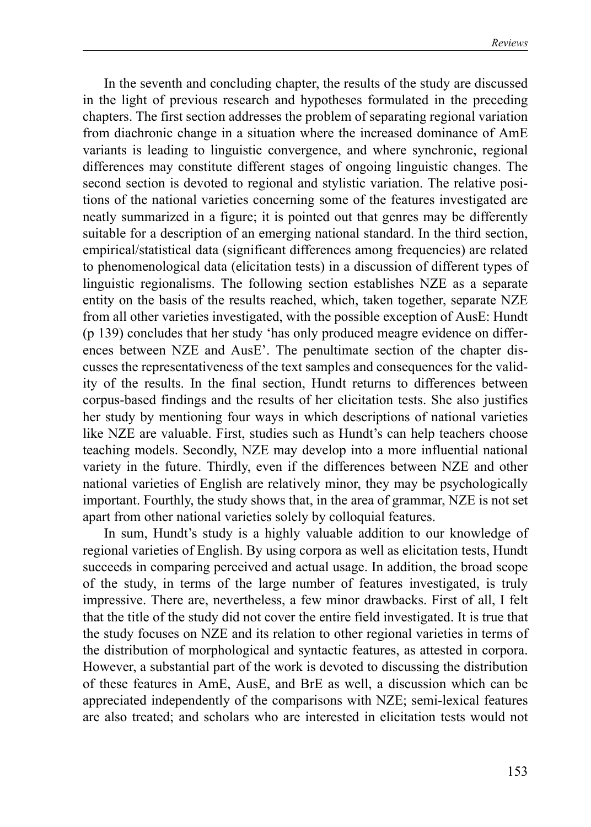In the seventh and concluding chapter, the results of the study are discussed in the light of previous research and hypotheses formulated in the preceding chapters. The first section addresses the problem of separating regional variation from diachronic change in a situation where the increased dominance of AmE variants is leading to linguistic convergence, and where synchronic, regional differences may constitute different stages of ongoing linguistic changes. The second section is devoted to regional and stylistic variation. The relative positions of the national varieties concerning some of the features investigated are neatly summarized in a figure; it is pointed out that genres may be differently suitable for a description of an emerging national standard. In the third section, empirical/statistical data (significant differences among frequencies) are related to phenomenological data (elicitation tests) in a discussion of different types of linguistic regionalisms. The following section establishes NZE as a separate entity on the basis of the results reached, which, taken together, separate NZE from all other varieties investigated, with the possible exception of AusE: Hundt (p 139) concludes that her study 'has only produced meagre evidence on differences between NZE and AusE'. The penultimate section of the chapter discusses the representativeness of the text samples and consequences for the validity of the results. In the final section, Hundt returns to differences between corpus-based findings and the results of her elicitation tests. She also justifies her study by mentioning four ways in which descriptions of national varieties like NZE are valuable. First, studies such as Hundt's can help teachers choose teaching models. Secondly, NZE may develop into a more influential national variety in the future. Thirdly, even if the differences between NZE and other national varieties of English are relatively minor, they may be psychologically important. Fourthly, the study shows that, in the area of grammar, NZE is not set apart from other national varieties solely by colloquial features.

In sum, Hundt's study is a highly valuable addition to our knowledge of regional varieties of English. By using corpora as well as elicitation tests, Hundt succeeds in comparing perceived and actual usage. In addition, the broad scope of the study, in terms of the large number of features investigated, is truly impressive. There are, nevertheless, a few minor drawbacks. First of all, I felt that the title of the study did not cover the entire field investigated. It is true that the study focuses on NZE and its relation to other regional varieties in terms of the distribution of morphological and syntactic features, as attested in corpora. However, a substantial part of the work is devoted to discussing the distribution of these features in AmE, AusE, and BrE as well, a discussion which can be appreciated independently of the comparisons with NZE; semi-lexical features are also treated; and scholars who are interested in elicitation tests would not